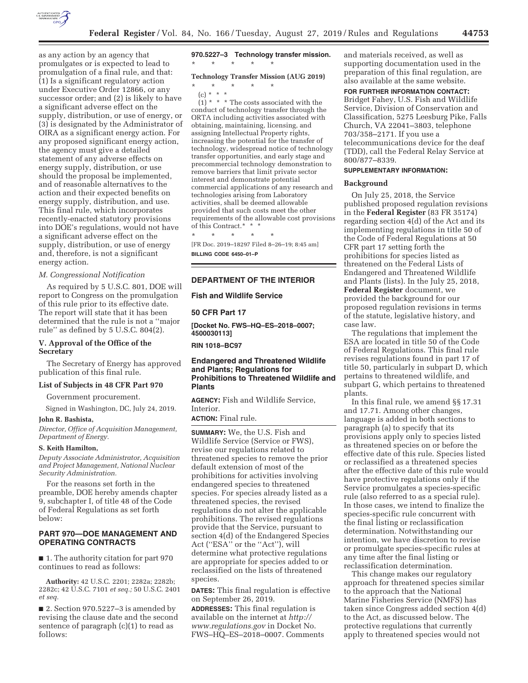

as any action by an agency that promulgates or is expected to lead to promulgation of a final rule, and that: (1) Is a significant regulatory action under Executive Order 12866, or any successor order; and (2) is likely to have a significant adverse effect on the supply, distribution, or use of energy, or (3) is designated by the Administrator of OIRA as a significant energy action. For any proposed significant energy action, the agency must give a detailed statement of any adverse effects on energy supply, distribution, or use should the proposal be implemented, and of reasonable alternatives to the action and their expected benefits on energy supply, distribution, and use. This final rule, which incorporates recently-enacted statutory provisions into DOE's regulations, would not have a significant adverse effect on the supply, distribution, or use of energy and, therefore, is not a significant energy action.

### *M. Congressional Notification*

As required by 5 U.S.C. 801, DOE will report to Congress on the promulgation of this rule prior to its effective date. The report will state that it has been determined that the rule is not a ''major rule'' as defined by 5 U.S.C. 804(2).

# **V. Approval of the Office of the Secretary**

The Secretary of Energy has approved publication of this final rule.

# **List of Subjects in 48 CFR Part 970**

Government procurement.

Signed in Washington, DC, July 24, 2019.

#### **John R. Bashista,**

*Director, Office of Acquisition Management, Department of Energy.* 

#### **S. Keith Hamilton,**

*Deputy Associate Administrator, Acquisition and Project Management, National Nuclear Security Administration.* 

For the reasons set forth in the preamble, DOE hereby amends chapter 9, subchapter I, of title 48 of the Code of Federal Regulations as set forth below:

## **PART 970—DOE MANAGEMENT AND OPERATING CONTRACTS**

■ 1. The authority citation for part 970 continues to read as follows:

**Authority:** 42 U.S.C. 2201; 2282a; 2282b; 2282c; 42 U.S.C. 7101 *et seq.;* 50 U.S.C. 2401 *et seq.* 

■ 2. Section 970.5227-3 is amended by revising the clause date and the second sentence of paragraph (c)(1) to read as follows:

**970.5227–3 Technology transfer mission.**  \* \* \* \* \*

# **Technology Transfer Mission (AUG 2019)**

\* \* \* \* \* (c) \* \* \*

 $(1)$  \* \* \* The costs associated with the conduct of technology transfer through the ORTA including activities associated with obtaining, maintaining, licensing, and assigning Intellectual Property rights, increasing the potential for the transfer of technology, widespread notice of technology transfer opportunities, and early stage and precommercial technology demonstration to remove barriers that limit private sector interest and demonstrate potential commercial applications of any research and technologies arising from Laboratory activities, shall be deemed allowable provided that such costs meet the other requirements of the allowable cost provisions of this Contract.\* \* \*

\* \* \* \* \* [FR Doc. 2019–18297 Filed 8–26–19; 8:45 am]

**BILLING CODE 6450–01–P** 

# **DEPARTMENT OF THE INTERIOR**

**Fish and Wildlife Service** 

### **50 CFR Part 17**

**[Docket No. FWS–HQ–ES–2018–0007; 4500030113]** 

**RIN 1018–BC97** 

# **Endangered and Threatened Wildlife and Plants; Regulations for Prohibitions to Threatened Wildlife and Plants**

**AGENCY:** Fish and Wildlife Service, Interior.

**ACTION:** Final rule.

**SUMMARY:** We, the U.S. Fish and Wildlife Service (Service or FWS), revise our regulations related to threatened species to remove the prior default extension of most of the prohibitions for activities involving endangered species to threatened species. For species already listed as a threatened species, the revised regulations do not alter the applicable prohibitions. The revised regulations provide that the Service, pursuant to section 4(d) of the Endangered Species Act ("ESA" or the "Act"), will determine what protective regulations are appropriate for species added to or reclassified on the lists of threatened species.

**DATES:** This final regulation is effective on September 26, 2019.

**ADDRESSES:** This final regulation is available on the internet at *http:// www.regulations.gov* in Docket No. FWS–HQ–ES–2018–0007. Comments and materials received, as well as supporting documentation used in the preparation of this final regulation, are also available at the same website.

**FOR FURTHER INFORMATION CONTACT:** 

Bridget Fahey, U.S. Fish and Wildlife Service, Division of Conservation and Classification, 5275 Leesburg Pike, Falls Church, VA 22041–3803, telephone 703/358–2171. If you use a telecommunications device for the deaf (TDD), call the Federal Relay Service at 800/877–8339.

#### **SUPPLEMENTARY INFORMATION:**

#### **Background**

On July 25, 2018, the Service published proposed regulation revisions in the **Federal Register** (83 FR 35174) regarding section 4(d) of the Act and its implementing regulations in title 50 of the Code of Federal Regulations at 50 CFR part 17 setting forth the prohibitions for species listed as threatened on the Federal Lists of Endangered and Threatened Wildlife and Plants (lists). In the July 25, 2018, **Federal Register** document, we provided the background for our proposed regulation revisions in terms of the statute, legislative history, and case law.

The regulations that implement the ESA are located in title 50 of the Code of Federal Regulations. This final rule revises regulations found in part 17 of title 50, particularly in subpart D, which pertains to threatened wildlife, and subpart G, which pertains to threatened plants.

In this final rule, we amend §§ 17.31 and 17.71. Among other changes, language is added in both sections to paragraph (a) to specify that its provisions apply only to species listed as threatened species on or before the effective date of this rule. Species listed or reclassified as a threatened species after the effective date of this rule would have protective regulations only if the Service promulgates a species-specific rule (also referred to as a special rule). In those cases, we intend to finalize the species-specific rule concurrent with the final listing or reclassification determination. Notwithstanding our intention, we have discretion to revise or promulgate species-specific rules at any time after the final listing or reclassification determination.

This change makes our regulatory approach for threatened species similar to the approach that the National Marine Fisheries Service (NMFS) has taken since Congress added section 4(d) to the Act, as discussed below. The protective regulations that currently apply to threatened species would not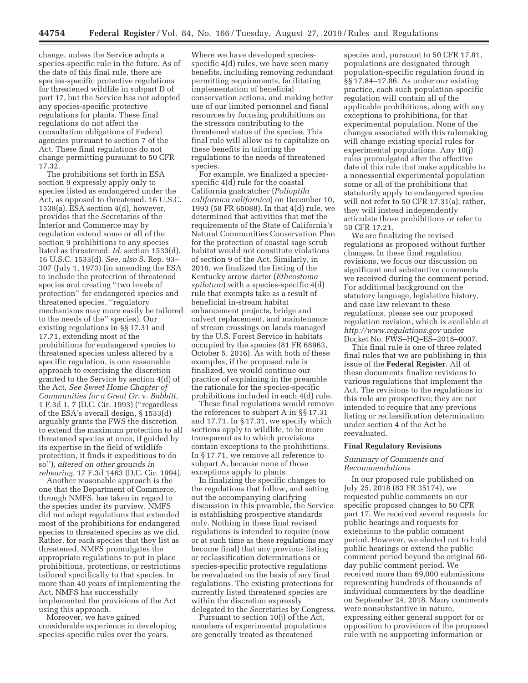change, unless the Service adopts a species-specific rule in the future. As of the date of this final rule, there are species-specific protective regulations for threatened wildlife in subpart D of part 17, but the Service has not adopted any species-specific protective regulations for plants. These final regulations do not affect the consultation obligations of Federal agencies pursuant to section 7 of the Act. These final regulations do not change permitting pursuant to 50 CFR 17.32.

The prohibitions set forth in ESA section 9 expressly apply only to species listed as endangered under the Act, as opposed to threatened. 16 U.S.C. 1538(a). ESA section 4(d), however, provides that the Secretaries of the Interior and Commerce may by regulation extend some or all of the section 9 prohibitions to any species listed as threatened. *Id.* section 1533(d). 16 U.S.C. 1533(d). *See, also* S. Rep. 93– 307 (July 1, 1973) (in amending the ESA to include the protection of threatened species and creating ''two levels of protection'' for endangered species and threatened species, ''regulatory mechanisms may more easily be tailored to the needs of the'' species). Our existing regulations in §§ 17.31 and 17.71, extending most of the prohibitions for endangered species to threatened species unless altered by a specific regulation, is one reasonable approach to exercising the discretion granted to the Service by section 4(d) of the Act. *See Sweet Home Chapter of Communities for a Great Or.* v. *Babbitt,*  1 F.3d 1, 7 (D.C. Cir. 1993) (''regardless of the ESA's overall design, § 1533(d) arguably grants the FWS the discretion to extend the maximum protection to all threatened species at once, if guided by its expertise in the field of wildlife protection, it finds it expeditious to do so''), *altered on other grounds in rehearing,* 17 F.3d 1463 (D.C. Cir. 1994).

Another reasonable approach is the one that the Department of Commerce, through NMFS, has taken in regard to the species under its purview. NMFS did not adopt regulations that extended most of the prohibitions for endangered species to threatened species as we did. Rather, for each species that they list as threatened, NMFS promulgates the appropriate regulations to put in place prohibitions, protections, or restrictions tailored specifically to that species. In more than 40 years of implementing the Act, NMFS has successfully implemented the provisions of the Act using this approach.

Moreover, we have gained considerable experience in developing species-specific rules over the years.

Where we have developed speciesspecific 4(d) rules, we have seen many benefits, including removing redundant permitting requirements, facilitating implementation of beneficial conservation actions, and making better use of our limited personnel and fiscal resources by focusing prohibitions on the stressors contributing to the threatened status of the species. This final rule will allow us to capitalize on these benefits in tailoring the regulations to the needs of threatened species.

For example, we finalized a speciesspecific 4(d) rule for the coastal California gnatcatcher (*Polioptila californica californica*) on December 10, 1993 (58 FR 65088). In that 4(d) rule, we determined that activities that met the requirements of the State of California's Natural Communities Conservation Plan for the protection of coastal sage scrub habitat would not constitute violations of section 9 of the Act. Similarly, in 2016, we finalized the listing of the Kentucky arrow darter (*Etheostoma spilotum*) with a species-specific 4(d) rule that exempts take as a result of beneficial in-stream habitat enhancement projects, bridge and culvert replacement, and maintenance of stream crossings on lands managed by the U.S. Forest Service in habitats occupied by the species (81 FR 68963, October 5, 2016). As with both of these examples, if the proposed rule is finalized, we would continue our practice of explaining in the preamble the rationale for the species-specific prohibitions included in each 4(d) rule.

These final regulations would remove the references to subpart A in §§ 17.31 and 17.71. In § 17.31, we specify which sections apply to wildlife, to be more transparent as to which provisions contain exceptions to the prohibitions. In § 17.71, we remove all reference to subpart A, because none of those exceptions apply to plants.

In finalizing the specific changes to the regulations that follow, and setting out the accompanying clarifying discussion in this preamble, the Service is establishing prospective standards only. Nothing in these final revised regulations is intended to require (now or at such time as these regulations may become final) that any previous listing or reclassification determinations or species-specific protective regulations be reevaluated on the basis of any final regulations. The existing protections for currently listed threatened species are within the discretion expressly delegated to the Secretaries by Congress.

Pursuant to section 10(j) of the Act, members of experimental populations are generally treated as threatened

species and, pursuant to 50 CFR 17.81, populations are designated through population-specific regulation found in §§ 17.84–17.86. As under our existing practice, each such population-specific regulation will contain all of the applicable prohibitions, along with any exceptions to prohibitions, for that experimental population. None of the changes associated with this rulemaking will change existing special rules for experimental populations. Any 10(j) rules promulgated after the effective date of this rule that make applicable to a nonessential experimental population some or all of the prohibitions that statutorily apply to endangered species will not refer to 50 CFR 17.31(a); rather, they will instead independently articulate those prohibitions or refer to 50 CFR 17.21.

We are finalizing the revised regulations as proposed without further changes. In these final regulation revisions, we focus our discussion on significant and substantive comments we received during the comment period. For additional background on the statutory language, legislative history, and case law relevant to these regulations, please see our proposed regulation revision, which is available at *http://www.regulations.gov* under Docket No. FWS–HQ–ES–2018–0007.

This final rule is one of three related final rules that we are publishing in this issue of the **Federal Register**. All of these documents finalize revisions to various regulations that implement the Act. The revisions to the regulations in this rule are prospective; they are not intended to require that any previous listing or reclassification determination under section 4 of the Act be reevaluated.

### **Final Regulatory Revisions**

## *Summary of Comments and Recommendations*

In our proposed rule published on July 25, 2018 (83 FR 35174), we requested public comments on our specific proposed changes to 50 CFR part 17. We received several requests for public hearings and requests for extensions to the public comment period. However, we elected not to hold public hearings or extend the public comment period beyond the original 60 day public comment period. We received more than 69,000 submissions representing hundreds of thousands of individual commenters by the deadline on September 24, 2018. Many comments were nonsubstantive in nature, expressing either general support for or opposition to provisions of the proposed rule with no supporting information or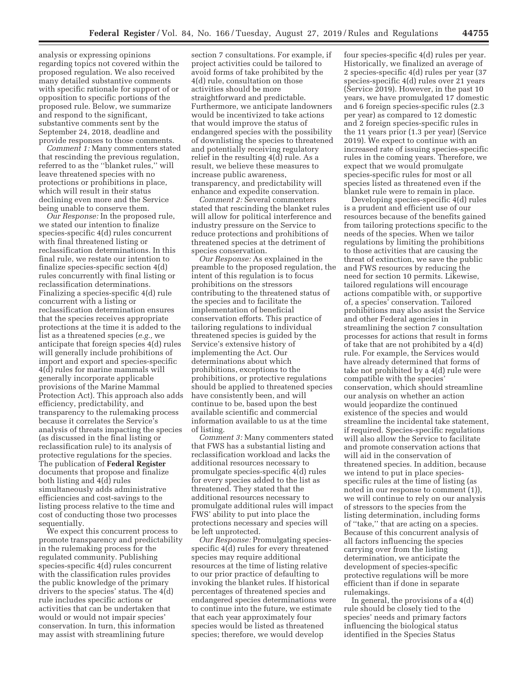analysis or expressing opinions regarding topics not covered within the proposed regulation. We also received many detailed substantive comments with specific rationale for support of or opposition to specific portions of the proposed rule. Below, we summarize and respond to the significant, substantive comments sent by the September 24, 2018, deadline and provide responses to those comments.

*Comment 1:* Many commenters stated that rescinding the previous regulation, referred to as the ''blanket rules,'' will leave threatened species with no protections or prohibitions in place, which will result in their status declining even more and the Service being unable to conserve them.

*Our Response:* In the proposed rule, we stated our intention to finalize species-specific 4(d) rules concurrent with final threatened listing or reclassification determinations. In this final rule, we restate our intention to finalize species-specific section 4(d) rules concurrently with final listing or reclassification determinations. Finalizing a species-specific 4(d) rule concurrent with a listing or reclassification determination ensures that the species receives appropriate protections at the time it is added to the list as a threatened species (*e.g.,* we anticipate that foreign species 4(d) rules will generally include prohibitions of import and export and species-specific 4(d) rules for marine mammals will generally incorporate applicable provisions of the Marine Mammal Protection Act). This approach also adds efficiency, predictability, and transparency to the rulemaking process because it correlates the Service's analysis of threats impacting the species (as discussed in the final listing or reclassification rule) to its analysis of protective regulations for the species. The publication of **Federal Register**  documents that propose and finalize both listing and 4(d) rules simultaneously adds administrative efficiencies and cost-savings to the listing process relative to the time and cost of conducting those two processes sequentially.

We expect this concurrent process to promote transparency and predictability in the rulemaking process for the regulated community. Publishing species-specific 4(d) rules concurrent with the classification rules provides the public knowledge of the primary drivers to the species' status. The 4(d) rule includes specific actions or activities that can be undertaken that would or would not impair species' conservation. In turn, this information may assist with streamlining future

section 7 consultations. For example, if project activities could be tailored to avoid forms of take prohibited by the 4(d) rule, consultation on those activities should be more straightforward and predictable. Furthermore, we anticipate landowners would be incentivized to take actions that would improve the status of endangered species with the possibility of downlisting the species to threatened and potentially receiving regulatory relief in the resulting 4(d) rule. As a result, we believe these measures to increase public awareness, transparency, and predictability will enhance and expedite conservation.

*Comment 2:* Several commenters stated that rescinding the blanket rules will allow for political interference and industry pressure on the Service to reduce protections and prohibitions of threatened species at the detriment of species conservation.

*Our Response:* As explained in the preamble to the proposed regulation, the intent of this regulation is to focus prohibitions on the stressors contributing to the threatened status of the species and to facilitate the implementation of beneficial conservation efforts. This practice of tailoring regulations to individual threatened species is guided by the Service's extensive history of implementing the Act. Our determinations about which prohibitions, exceptions to the prohibitions, or protective regulations should be applied to threatened species have consistently been, and will continue to be, based upon the best available scientific and commercial information available to us at the time of listing.

*Comment 3:* Many commenters stated that FWS has a substantial listing and reclassification workload and lacks the additional resources necessary to promulgate species-specific 4(d) rules for every species added to the list as threatened. They stated that the additional resources necessary to promulgate additional rules will impact FWS' ability to put into place the protections necessary and species will be left unprotected.

*Our Response:* Promulgating speciesspecific 4(d) rules for every threatened species may require additional resources at the time of listing relative to our prior practice of defaulting to invoking the blanket rules. If historical percentages of threatened species and endangered species determinations were to continue into the future, we estimate that each year approximately four species would be listed as threatened species; therefore, we would develop

four species-specific 4(d) rules per year. Historically, we finalized an average of 2 species-specific 4(d) rules per year (37 species-specific 4(d) rules over 21 years (Service 2019). However, in the past 10 years, we have promulgated 17 domestic and 6 foreign species-specific rules (2.3 per year) as compared to 12 domestic and 2 foreign species-specific rules in the 11 years prior (1.3 per year) (Service 2019). We expect to continue with an increased rate of issuing species-specific rules in the coming years. Therefore, we expect that we would promulgate species-specific rules for most or all species listed as threatened even if the blanket rule were to remain in place.

Developing species-specific  $\overline{4}$ (d) rules is a prudent and efficient use of our resources because of the benefits gained from tailoring protections specific to the needs of the species. When we tailor regulations by limiting the prohibitions to those activities that are causing the threat of extinction, we save the public and FWS resources by reducing the need for section 10 permits. Likewise, tailored regulations will encourage actions compatible with, or supportive of, a species' conservation. Tailored prohibitions may also assist the Service and other Federal agencies in streamlining the section 7 consultation processes for actions that result in forms of take that are not prohibited by a 4(d) rule. For example, the Services would have already determined that forms of take not prohibited by a 4(d) rule were compatible with the species' conservation, which should streamline our analysis on whether an action would jeopardize the continued existence of the species and would streamline the incidental take statement, if required. Species-specific regulations will also allow the Service to facilitate and promote conservation actions that will aid in the conservation of threatened species. In addition, because we intend to put in place speciesspecific rules at the time of listing (as noted in our response to comment (1)), we will continue to rely on our analysis of stressors to the species from the listing determination, including forms of ''take,'' that are acting on a species. Because of this concurrent analysis of all factors influencing the species carrying over from the listing determination, we anticipate the development of species-specific protective regulations will be more efficient than if done in separate rulemakings.

In general, the provisions of a 4(d) rule should be closely tied to the species' needs and primary factors influencing the biological status identified in the Species Status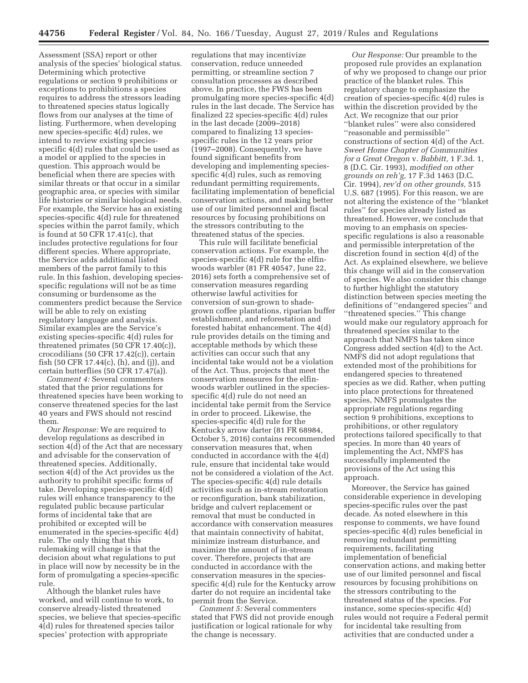Assessment (SSA) report or other analysis of the species' biological status. Determining which protective regulations or section 9 prohibitions or exceptions to prohibitions a species requires to address the stressors leading to threatened species status logically flows from our analyses at the time of listing. Furthermore, when developing new species-specific 4(d) rules, we intend to review existing speciesspecific 4(d) rules that could be used as a model or applied to the species in question. This approach would be beneficial when there are species with similar threats or that occur in a similar geographic area, or species with similar life histories or similar biological needs. For example, the Service has an existing species-specific 4(d) rule for threatened species within the parrot family, which is found at 50 CFR 17.41(c), that includes protective regulations for four different species. Where appropriate, the Service adds additional listed members of the parrot family to this rule. In this fashion, developing speciesspecific regulations will not be as time consuming or burdensome as the commenters predict because the Service will be able to rely on existing regulatory language and analysis. Similar examples are the Service's existing species-specific 4(d) rules for threatened primates (50 CFR 17.40(c)), crocodilians (50 CFR 17.42(c)), certain fish (50 CFR 17.44(c), (h), and (j)), and certain butterflies (50 CFR 17.47(a)).

*Comment 4:* Several commenters stated that the prior regulations for threatened species have been working to conserve threatened species for the last 40 years and FWS should not rescind them.

*Our Response:* We are required to develop regulations as described in section  $4(d)$  of the Act that are necessary and advisable for the conservation of threatened species. Additionally, section 4(d) of the Act provides us the authority to prohibit specific forms of take. Developing species-specific 4(d) rules will enhance transparency to the regulated public because particular forms of incidental take that are prohibited or excepted will be enumerated in the species-specific 4(d) rule. The only thing that this rulemaking will change is that the decision about what regulations to put in place will now by necessity be in the form of promulgating a species-specific rule.

Although the blanket rules have worked, and will continue to work, to conserve already-listed threatened species, we believe that species-specific 4(d) rules for threatened species tailor species' protection with appropriate

regulations that may incentivize conservation, reduce unneeded permitting, or streamline section 7 consultation processes as described above. In practice, the FWS has been promulgating more species-specific 4(d) rules in the last decade. The Service has finalized 22 species-specific 4(d) rules in the last decade (2009–2018) compared to finalizing 13 speciesspecific rules in the 12 years prior (1997–2008). Consequently, we have found significant benefits from developing and implementing speciesspecific 4(d) rules, such as removing redundant permitting requirements, facilitating implementation of beneficial conservation actions, and making better use of our limited personnel and fiscal resources by focusing prohibitions on the stressors contributing to the threatened status of the species.

This rule will facilitate beneficial conservation actions. For example, the species-specific 4(d) rule for the elfinwoods warbler (81 FR 40547, June 22, 2016) sets forth a comprehensive set of conservation measures regarding otherwise lawful activities for conversion of sun-grown to shadegrown coffee plantations, riparian buffer establishment, and reforestation and forested habitat enhancement. The 4(d) rule provides details on the timing and acceptable methods by which these activities can occur such that any incidental take would not be a violation of the Act. Thus, projects that meet the conservation measures for the elfinwoods warbler outlined in the speciesspecific 4(d) rule do not need an incidental take permit from the Service in order to proceed. Likewise, the species-specific 4(d) rule for the Kentucky arrow darter (81 FR 68984, October 5, 2016) contains recommended conservation measures that, when conducted in accordance with the 4(d) rule, ensure that incidental take would not be considered a violation of the Act. The species-specific 4(d) rule details activities such as in-stream restoration or reconfiguration, bank stabilization, bridge and culvert replacement or removal that must be conducted in accordance with conservation measures that maintain connectivity of habitat, minimize instream disturbance, and maximize the amount of in-stream cover. Therefore, projects that are conducted in accordance with the conservation measures in the speciesspecific 4(d) rule for the Kentucky arrow darter do not require an incidental take permit from the Service.

*Comment 5:* Several commenters stated that FWS did not provide enough justification or logical rationale for why the change is necessary.

*Our Response:* Our preamble to the proposed rule provides an explanation of why we proposed to change our prior practice of the blanket rules. This regulatory change to emphasize the creation of species-specific 4(d) rules is within the discretion provided by the Act. We recognize that our prior ''blanket rules'' were also considered ''reasonable and permissible'' constructions of section 4(d) of the Act. *Sweet Home Chapter of Communities for a Great Oregon* v. *Babbitt,* 1 F.3d. 1, 8 (D.C. Cir. 1993), *modified on other grounds on reh'g,* 17 F.3d 1463 (D.C. Cir. 1994), *rev'd on other grounds,* 515 U.S. 687 (1995). For this reason, we are not altering the existence of the ''blanket rules'' for species already listed as threatened. However, we conclude that moving to an emphasis on speciesspecific regulations is also a reasonable and permissible interpretation of the discretion found in section 4(d) of the Act. As explained elsewhere, we believe this change will aid in the conservation of species. We also consider this change to further highlight the statutory distinction between species meeting the definitions of ''endangered species'' and ''threatened species.'' This change would make our regulatory approach for threatened species similar to the approach that NMFS has taken since Congress added section 4(d) to the Act. NMFS did not adopt regulations that extended most of the prohibitions for endangered species to threatened species as we did. Rather, when putting into place protections for threatened species, NMFS promulgates the appropriate regulations regarding section 9 prohibitions, exceptions to prohibitions, or other regulatory protections tailored specifically to that species. In more than 40 years of implementing the Act, NMFS has successfully implemented the provisions of the Act using this approach.

Moreover, the Service has gained considerable experience in developing species-specific rules over the past decade. As noted elsewhere in this response to comments, we have found species-specific 4(d) rules beneficial in removing redundant permitting requirements, facilitating implementation of beneficial conservation actions, and making better use of our limited personnel and fiscal resources by focusing prohibitions on the stressors contributing to the threatened status of the species. For instance, some species-specific 4(d) rules would not require a Federal permit for incidental take resulting from activities that are conducted under a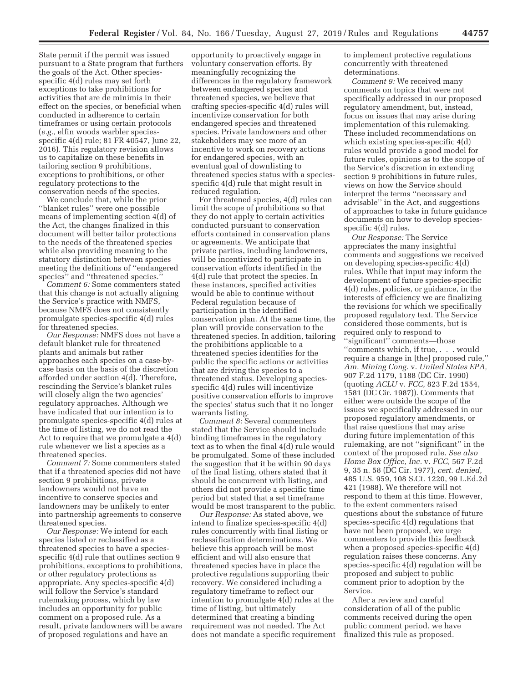State permit if the permit was issued pursuant to a State program that furthers the goals of the Act. Other speciesspecific 4(d) rules may set forth exceptions to take prohibitions for activities that are de minimis in their effect on the species, or beneficial when conducted in adherence to certain timeframes or using certain protocols (*e.g.,* elfin woods warbler speciesspecific 4(d) rule; 81 FR 40547, June 22, 2016). This regulatory revision allows us to capitalize on these benefits in tailoring section 9 prohibitions, exceptions to prohibitions, or other regulatory protections to the conservation needs of the species.

We conclude that, while the prior ''blanket rules'' were one possible means of implementing section 4(d) of the Act, the changes finalized in this document will better tailor protections to the needs of the threatened species while also providing meaning to the statutory distinction between species meeting the definitions of ''endangered species'' and ''threatened species.''

*Comment 6:* Some commenters stated that this change is not actually aligning the Service's practice with NMFS, because NMFS does not consistently promulgate species-specific 4(d) rules for threatened species.

*Our Response:* NMFS does not have a default blanket rule for threatened plants and animals but rather approaches each species on a case-bycase basis on the basis of the discretion afforded under section 4(d). Therefore, rescinding the Service's blanket rules will closely align the two agencies' regulatory approaches. Although we have indicated that our intention is to promulgate species-specific 4(d) rules at the time of listing, we do not read the Act to require that we promulgate a 4(d) rule whenever we list a species as a threatened species.

*Comment 7:* Some commenters stated that if a threatened species did not have section 9 prohibitions, private landowners would not have an incentive to conserve species and landowners may be unlikely to enter into partnership agreements to conserve threatened species.

*Our Response:* We intend for each species listed or reclassified as a threatened species to have a speciesspecific 4(d) rule that outlines section 9 prohibitions, exceptions to prohibitions, or other regulatory protections as appropriate. Any species-specific 4(d) will follow the Service's standard rulemaking process, which by law includes an opportunity for public comment on a proposed rule. As a result, private landowners will be aware of proposed regulations and have an

opportunity to proactively engage in voluntary conservation efforts. By meaningfully recognizing the differences in the regulatory framework between endangered species and threatened species, we believe that crafting species-specific 4(d) rules will incentivize conservation for both endangered species and threatened species. Private landowners and other stakeholders may see more of an incentive to work on recovery actions for endangered species, with an eventual goal of downlisting to threatened species status with a speciesspecific 4(d) rule that might result in reduced regulation.

For threatened species, 4(d) rules can limit the scope of prohibitions so that they do not apply to certain activities conducted pursuant to conservation efforts contained in conservation plans or agreements. We anticipate that private parties, including landowners, will be incentivized to participate in conservation efforts identified in the 4(d) rule that protect the species. In these instances, specified activities would be able to continue without Federal regulation because of participation in the identified conservation plan. At the same time, the plan will provide conservation to the threatened species. In addition, tailoring the prohibitions applicable to a threatened species identifies for the public the specific actions or activities that are driving the species to a threatened status. Developing speciesspecific 4(d) rules will incentivize positive conservation efforts to improve the species' status such that it no longer warrants listing.

*Comment 8:* Several commenters stated that the Service should include binding timeframes in the regulatory text as to when the final 4(d) rule would be promulgated. Some of these included the suggestion that it be within 90 days of the final listing, others stated that it should be concurrent with listing, and others did not provide a specific time period but stated that a set timeframe would be most transparent to the public.

*Our Response:* As stated above, we intend to finalize species-specific 4(d) rules concurrently with final listing or reclassification determinations. We believe this approach will be most efficient and will also ensure that threatened species have in place the protective regulations supporting their recovery. We considered including a regulatory timeframe to reflect our intention to promulgate 4(d) rules at the time of listing, but ultimately determined that creating a binding requirement was not needed. The Act does not mandate a specific requirement to implement protective regulations concurrently with threatened determinations.

*Comment 9:* We received many comments on topics that were not specifically addressed in our proposed regulatory amendment, but, instead, focus on issues that may arise during implementation of this rulemaking. These included recommendations on which existing species-specific 4(d) rules would provide a good model for future rules, opinions as to the scope of the Service's discretion in extending section 9 prohibitions in future rules, views on how the Service should interpret the terms ''necessary and advisable'' in the Act, and suggestions of approaches to take in future guidance documents on how to develop speciesspecific 4(d) rules.

*Our Response:* The Service appreciates the many insightful comments and suggestions we received on developing species-specific 4(d) rules. While that input may inform the development of future species-specific 4(d) rules, policies, or guidance, in the interests of efficiency we are finalizing the revisions for which we specifically proposed regulatory text. The Service considered those comments, but is required only to respond to ''significant'' comments—those ''comments which, if true, . . . would require a change in [the] proposed rule,'' *Am. Mining Cong.* v. *United States EPA,*  907 F.2d 1179, 1188 (DC Cir. 1990) (quoting *ACLU* v. *FCC,* 823 F.2d 1554, 1581 (DC Cir. 1987)). Comments that either were outside the scope of the issues we specifically addressed in our proposed regulatory amendments, or that raise questions that may arise during future implementation of this rulemaking, are not ''significant'' in the context of the proposed rule. *See also Home Box Office, Inc.* v. *FCC,* 567 F.2d 9, 35 n. 58 (DC Cir. 1977), *cert. denied,*  485 U.S. 959, 108 S.Ct. 1220, 99 L.Ed.2d 421 (1988). We therefore will not respond to them at this time. However, to the extent commenters raised questions about the substance of future species-specific 4(d) regulations that have not been proposed, we urge commenters to provide this feedback when a proposed species-specific 4(d) regulation raises these concerns. Any species-specific 4(d) regulation will be proposed and subject to public comment prior to adoption by the Service.

After a review and careful consideration of all of the public comments received during the open public comment period, we have finalized this rule as proposed.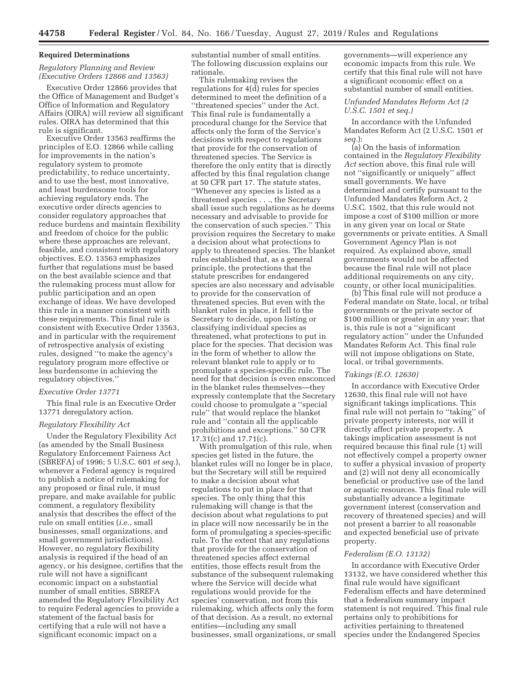### **Required Determinations**

# *Regulatory Planning and Review (Executive Orders 12866 and 13563)*

Executive Order 12866 provides that the Office of Management and Budget's Office of Information and Regulatory Affairs (OIRA) will review all significant rules. OIRA has determined that this rule is significant.

Executive Order 13563 reaffirms the principles of E.O. 12866 while calling for improvements in the nation's regulatory system to promote predictability, to reduce uncertainty, and to use the best, most innovative, and least burdensome tools for achieving regulatory ends. The executive order directs agencies to consider regulatory approaches that reduce burdens and maintain flexibility and freedom of choice for the public where these approaches are relevant, feasible, and consistent with regulatory objectives. E.O. 13563 emphasizes further that regulations must be based on the best available science and that the rulemaking process must allow for public participation and an open exchange of ideas. We have developed this rule in a manner consistent with these requirements. This final rule is consistent with Executive Order 13563, and in particular with the requirement of retrospective analysis of existing rules, designed ''to make the agency's regulatory program more effective or less burdensome in achieving the regulatory objectives.''

### *Executive Order 13771*

This final rule is an Executive Order 13771 deregulatory action.

# *Regulatory Flexibility Act*

Under the Regulatory Flexibility Act (as amended by the Small Business Regulatory Enforcement Fairness Act (SBREFA) of 1996; 5 U.S.C. 601 *et seq.*), whenever a Federal agency is required to publish a notice of rulemaking for any proposed or final rule, it must prepare, and make available for public comment, a regulatory flexibility analysis that describes the effect of the rule on small entities (*i.e.,* small businesses, small organizations, and small government jurisdictions). However, no regulatory flexibility analysis is required if the head of an agency, or his designee, certifies that the rule will not have a significant economic impact on a substantial number of small entities. SBREFA amended the Regulatory Flexibility Act to require Federal agencies to provide a statement of the factual basis for certifying that a rule will not have a significant economic impact on a

substantial number of small entities. The following discussion explains our rationale.

This rulemaking revises the regulations for  $4(\tilde{d})$  rules for species determined to meet the definition of a ''threatened species'' under the Act. This final rule is fundamentally a procedural change for the Service that affects only the form of the Service's decisions with respect to regulations that provide for the conservation of threatened species. The Service is therefore the only entity that is directly affected by this final regulation change at 50 CFR part 17. The statute states, ''Whenever any species is listed as a threatened species . . ., the Secretary shall issue such regulations as he deems necessary and advisable to provide for the conservation of such species.'' This provision requires the Secretary to make a decision about what protections to apply to threatened species. The blanket rules established that, as a general principle, the protections that the statute prescribes for endangered species are also necessary and advisable to provide for the conservation of threatened species. But even with the blanket rules in place, it fell to the Secretary to decide, upon listing or classifying individual species as threatened, what protections to put in place for the species. That decision was in the form of whether to allow the relevant blanket rule to apply or to promulgate a species-specific rule. The need for that decision is even ensconced in the blanket rules themselves—they expressly contemplate that the Secretary could choose to promulgate a ''special rule'' that would replace the blanket rule and ''contain all the applicable prohibitions and exceptions.'' 50 CFR 17.31(c) and 17.71(c).

With promulgation of this rule, when species get listed in the future, the blanket rules will no longer be in place, but the Secretary will still be required to make a decision about what regulations to put in place for that species. The only thing that this rulemaking will change is that the decision about what regulations to put in place will now necessarily be in the form of promulgating a species-specific rule. To the extent that any regulations that provide for the conservation of threatened species affect external entities, those effects result from the substance of the subsequent rulemaking where the Service will decide what regulations would provide for the species' conservation, not from this rulemaking, which affects only the form of that decision. As a result, no external entities—including any small businesses, small organizations, or small governments—will experience any economic impacts from this rule. We certify that this final rule will not have a significant economic effect on a substantial number of small entities.

# *Unfunded Mandates Reform Act (2 U.S.C. 1501 et seq.)*

In accordance with the Unfunded Mandates Reform Act (2 U.S.C. 1501 *et seq.*):

(a) On the basis of information contained in the *Regulatory Flexibility Act* section above, this final rule will not ''significantly or uniquely'' affect small governments. We have determined and certify pursuant to the Unfunded Mandates Reform Act, 2 U.S.C. 1502, that this rule would not impose a cost of \$100 million or more in any given year on local or State governments or private entities. A Small Government Agency Plan is not required. As explained above, small governments would not be affected because the final rule will not place additional requirements on any city, county, or other local municipalities.

(b) This final rule will not produce a Federal mandate on State, local, or tribal governments or the private sector of \$100 million or greater in any year; that is, this rule is not a ''significant regulatory action'' under the Unfunded Mandates Reform Act. This final rule will not impose obligations on State, local, or tribal governments.

### *Takings (E.O. 12630)*

In accordance with Executive Order 12630, this final rule will not have significant takings implications. This final rule will not pertain to ''taking'' of private property interests, nor will it directly affect private property. A takings implication assessment is not required because this final rule (1) will not effectively compel a property owner to suffer a physical invasion of property and (2) will not deny all economically beneficial or productive use of the land or aquatic resources. This final rule will substantially advance a legitimate government interest (conservation and recovery of threatened species) and will not present a barrier to all reasonable and expected beneficial use of private property.

### *Federalism (E.O. 13132)*

In accordance with Executive Order 13132, we have considered whether this final rule would have significant Federalism effects and have determined that a federalism summary impact statement is not required. This final rule pertains only to prohibitions for activities pertaining to threatened species under the Endangered Species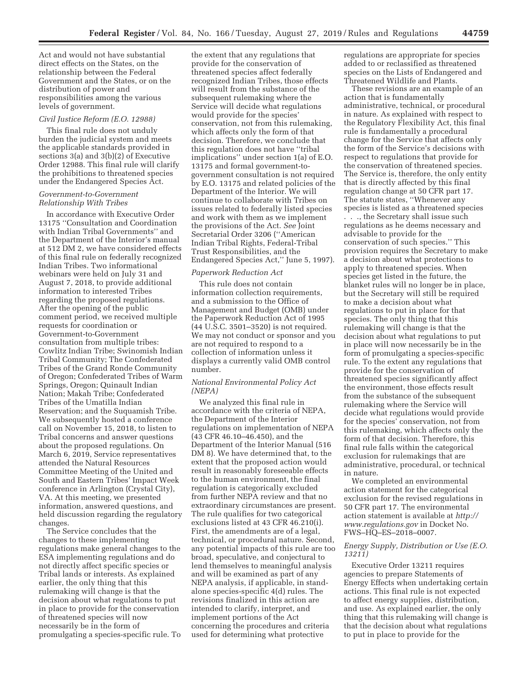Act and would not have substantial direct effects on the States, on the relationship between the Federal Government and the States, or on the distribution of power and responsibilities among the various levels of government.

### *Civil Justice Reform (E.O. 12988)*

This final rule does not unduly burden the judicial system and meets the applicable standards provided in sections 3(a) and 3(b)(2) of Executive Order 12988. This final rule will clarify the prohibitions to threatened species under the Endangered Species Act.

# *Government-to-Government Relationship With Tribes*

In accordance with Executive Order 13175 ''Consultation and Coordination with Indian Tribal Governments'' and the Department of the Interior's manual at 512 DM 2, we have considered effects of this final rule on federally recognized Indian Tribes. Two informational webinars were held on July 31 and August 7, 2018, to provide additional information to interested Tribes regarding the proposed regulations. After the opening of the public comment period, we received multiple requests for coordination or Government-to-Government consultation from multiple tribes: Cowlitz Indian Tribe; Swinomish Indian Tribal Community; The Confederated Tribes of the Grand Ronde Community of Oregon; Confederated Tribes of Warm Springs, Oregon; Quinault Indian Nation; Makah Tribe; Confederated Tribes of the Umatilla Indian Reservation; and the Suquamish Tribe. We subsequently hosted a conference call on November 15, 2018, to listen to Tribal concerns and answer questions about the proposed regulations. On March 6, 2019, Service representatives attended the Natural Resources Committee Meeting of the United and South and Eastern Tribes' Impact Week conference in Arlington (Crystal City), VA. At this meeting, we presented information, answered questions, and held discussion regarding the regulatory changes.

The Service concludes that the changes to these implementing regulations make general changes to the ESA implementing regulations and do not directly affect specific species or Tribal lands or interests. As explained earlier, the only thing that this rulemaking will change is that the decision about what regulations to put in place to provide for the conservation of threatened species will now necessarily be in the form of promulgating a species-specific rule. To

the extent that any regulations that provide for the conservation of threatened species affect federally recognized Indian Tribes, those effects will result from the substance of the subsequent rulemaking where the Service will decide what regulations would provide for the species' conservation, not from this rulemaking, which affects only the form of that decision. Therefore, we conclude that this regulation does not have ''tribal implications'' under section 1(a) of E.O. 13175 and formal government-togovernment consultation is not required by E.O. 13175 and related policies of the Department of the Interior. We will continue to collaborate with Tribes on issues related to federally listed species and work with them as we implement the provisions of the Act. *See* Joint Secretarial Order 3206 (''American Indian Tribal Rights, Federal-Tribal Trust Responsibilities, and the Endangered Species Act,'' June 5, 1997).

#### *Paperwork Reduction Act*

This rule does not contain information collection requirements, and a submission to the Office of Management and Budget (OMB) under the Paperwork Reduction Act of 1995 (44 U.S.C. 3501–3520) is not required. We may not conduct or sponsor and you are not required to respond to a collection of information unless it displays a currently valid OMB control number.

# *National Environmental Policy Act (NEPA)*

We analyzed this final rule in accordance with the criteria of NEPA, the Department of the Interior regulations on implementation of NEPA (43 CFR 46.10–46.450), and the Department of the Interior Manual (516 DM 8). We have determined that, to the extent that the proposed action would result in reasonably foreseeable effects to the human environment, the final regulation is categorically excluded from further NEPA review and that no extraordinary circumstances are present. The rule qualifies for two categorical exclusions listed at 43 CFR 46.210(i). First, the amendments are of a legal, technical, or procedural nature. Second, any potential impacts of this rule are too broad, speculative, and conjectural to lend themselves to meaningful analysis and will be examined as part of any NEPA analysis, if applicable, in standalone species-specific 4(d) rules. The revisions finalized in this action are intended to clarify, interpret, and implement portions of the Act concerning the procedures and criteria used for determining what protective

regulations are appropriate for species added to or reclassified as threatened species on the Lists of Endangered and Threatened Wildlife and Plants.

These revisions are an example of an action that is fundamentally administrative, technical, or procedural in nature. As explained with respect to the Regulatory Flexibility Act, this final rule is fundamentally a procedural change for the Service that affects only the form of the Service's decisions with respect to regulations that provide for the conservation of threatened species. The Service is, therefore, the only entity that is directly affected by this final regulation change at 50 CFR part 17. The statute states, ''Whenever any species is listed as a threatened species . . ., the Secretary shall issue such regulations as he deems necessary and advisable to provide for the conservation of such species.'' This provision requires the Secretary to make a decision about what protections to apply to threatened species. When species get listed in the future, the blanket rules will no longer be in place, but the Secretary will still be required to make a decision about what regulations to put in place for that species. The only thing that this rulemaking will change is that the decision about what regulations to put in place will now necessarily be in the form of promulgating a species-specific rule. To the extent any regulations that provide for the conservation of threatened species significantly affect the environment, those effects result from the substance of the subsequent rulemaking where the Service will decide what regulations would provide for the species' conservation, not from this rulemaking, which affects only the form of that decision. Therefore, this final rule falls within the categorical exclusion for rulemakings that are administrative, procedural, or technical in nature.

We completed an environmental action statement for the categorical exclusion for the revised regulations in 50 CFR part 17. The environmental action statement is available at *http:// www.regulations.gov* in Docket No. FWS–HQ–ES–2018–0007.

## *Energy Supply, Distribution or Use (E.O. 13211)*

Executive Order 13211 requires agencies to prepare Statements of Energy Effects when undertaking certain actions. This final rule is not expected to affect energy supplies, distribution, and use. As explained earlier, the only thing that this rulemaking will change is that the decision about what regulations to put in place to provide for the